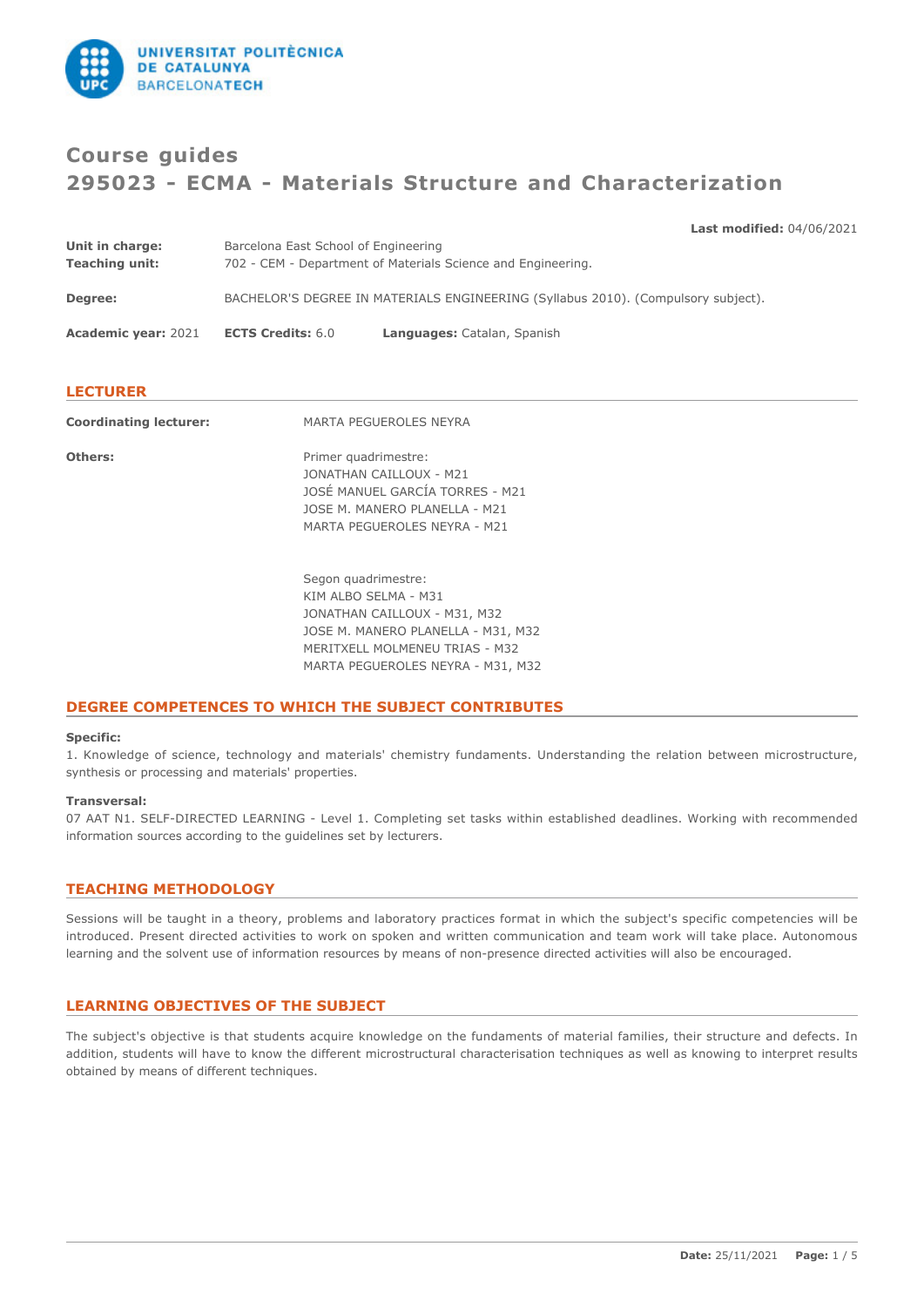

# **Course guides 295023 - ECMA - Materials Structure and Characterization**

**Last modified:** 04/06/2021

| Unit in charge:            | Barcelona East School of Engineering                                              |                             |  |
|----------------------------|-----------------------------------------------------------------------------------|-----------------------------|--|
| <b>Teaching unit:</b>      | 702 - CEM - Department of Materials Science and Engineering.                      |                             |  |
| Degree:                    | BACHELOR'S DEGREE IN MATERIALS ENGINEERING (Syllabus 2010). (Compulsory subject). |                             |  |
| <b>Academic year: 2021</b> | <b>ECTS Credits: 6.0</b>                                                          | Languages: Catalan, Spanish |  |
|                            |                                                                                   |                             |  |

# **LECTURER**

| <b>Coordinating lecturer:</b> | MARTA PEGUEROLES NEYRA                                                                                                                                                                   |
|-------------------------------|------------------------------------------------------------------------------------------------------------------------------------------------------------------------------------------|
| Others:                       | Primer quadrimestre:<br>JONATHAN CAILLOUX - M21<br>JOSÉ MANUEL GARCÍA TORRES - M21<br>JOSE M. MANERO PLANELLA - M21<br>MARTA PEGUEROLES NEYRA - M21                                      |
|                               | Segon quadrimestre:<br>KIM ALBO SELMA - M31<br>JONATHAN CAILLOUX - M31, M32<br>JOSE M. MANERO PLANELLA - M31, M32<br>MERITXELL MOLMENEU TRIAS - M32<br>MARTA PEGUEROLES NEYRA - M31, M32 |

# **DEGREE COMPETENCES TO WHICH THE SUBJECT CONTRIBUTES**

### **Specific:**

1. Knowledge of science, technology and materials' chemistry fundaments. Understanding the relation between microstructure, synthesis or processing and materials' properties.

### **Transversal:**

07 AAT N1. SELF-DIRECTED LEARNING - Level 1. Completing set tasks within established deadlines. Working with recommended information sources according to the guidelines set by lecturers.

# **TEACHING METHODOLOGY**

Sessions will be taught in a theory, problems and laboratory practices format in which the subject's specific competencies will be introduced. Present directed activities to work on spoken and written communication and team work will take place. Autonomous learning and the solvent use of information resources by means of non-presence directed activities will also be encouraged.

# **LEARNING OBJECTIVES OF THE SUBJECT**

The subject's objective is that students acquire knowledge on the fundaments of material families, their structure and defects. In addition, students will have to know the different microstructural characterisation techniques as well as knowing to interpret results obtained by means of different techniques.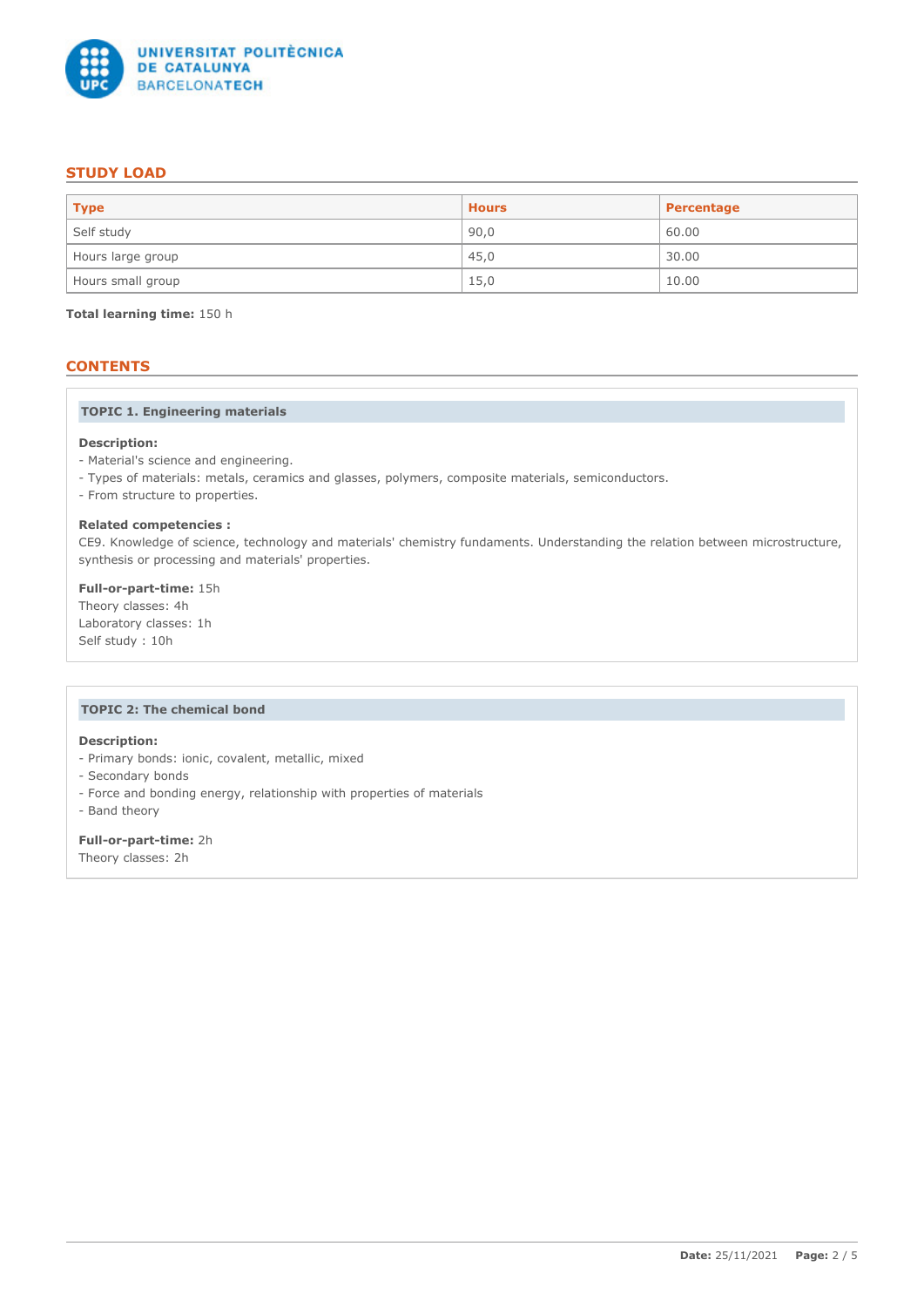

# **STUDY LOAD**

| $ $ Type          | <b>Hours</b> | Percentage |
|-------------------|--------------|------------|
| Self study        | 90,0         | 60.00      |
| Hours large group | 45,0         | 30.00      |
| Hours small group | 15,0         | 10.00      |

**Total learning time:** 150 h

# **CONTENTS**

# **TOPIC 1. Engineering materials**

### **Description:**

- Material's science and engineering.
- Types of materials: metals, ceramics and glasses, polymers, composite materials, semiconductors.
- From structure to properties.

### **Related competencies :**

CE9. Knowledge of science, technology and materials' chemistry fundaments. Understanding the relation between microstructure, synthesis or processing and materials' properties.

# **Full-or-part-time:** 15h

Theory classes: 4h Laboratory classes: 1h Self study : 10h

# **TOPIC 2: The chemical bond**

# **Description:**

- Primary bonds: ionic, covalent, metallic, mixed
- Secondary bonds
- Force and bonding energy, relationship with properties of materials
- Band theory

# **Full-or-part-time:** 2h

Theory classes: 2h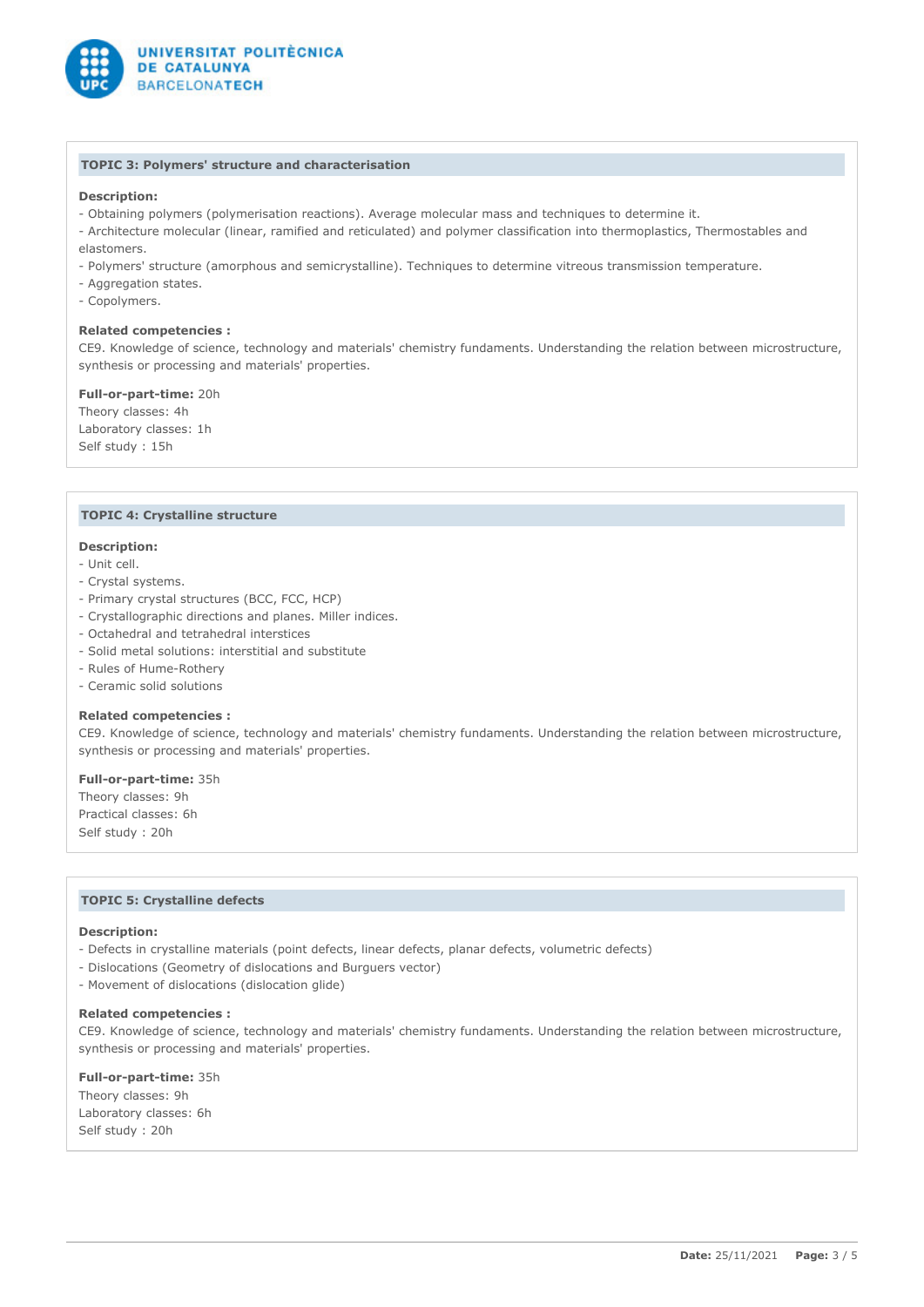

### **TOPIC 3: Polymers' structure and characterisation**

### **Description:**

- Obtaining polymers (polymerisation reactions). Average molecular mass and techniques to determine it.
- Architecture molecular (linear, ramified and reticulated) and polymer classification into thermoplastics, Thermostables and elastomers.
- Polymers' structure (amorphous and semicrystalline). Techniques to determine vitreous transmission temperature.
- Aggregation states.
- Copolymers.

### **Related competencies :**

CE9. Knowledge of science, technology and materials' chemistry fundaments. Understanding the relation between microstructure, synthesis or processing and materials' properties.

**Full-or-part-time:** 20h Theory classes: 4h Laboratory classes: 1h Self study : 15h

### **TOPIC 4: Crystalline structure**

#### **Description:**

- Unit cell.
- Crystal systems.
- Primary crystal structures (BCC, FCC, HCP)
- Crystallographic directions and planes. Miller indices.
- Octahedral and tetrahedral interstices
- Solid metal solutions: interstitial and substitute
- Rules of Hume-Rothery
- Ceramic solid solutions

#### **Related competencies :**

CE9. Knowledge of science, technology and materials' chemistry fundaments. Understanding the relation between microstructure, synthesis or processing and materials' properties.

# **Full-or-part-time:** 35h

Theory classes: 9h Practical classes: 6h Self study : 20h

### **TOPIC 5: Crystalline defects**

### **Description:**

- Defects in crystalline materials (point defects, linear defects, planar defects, volumetric defects)
- Dislocations (Geometry of dislocations and Burguers vector)
- Movement of dislocations (dislocation glide)

#### **Related competencies :**

CE9. Knowledge of science, technology and materials' chemistry fundaments. Understanding the relation between microstructure, synthesis or processing and materials' properties.

# **Full-or-part-time:** 35h

Theory classes: 9h Laboratory classes: 6h Self study : 20h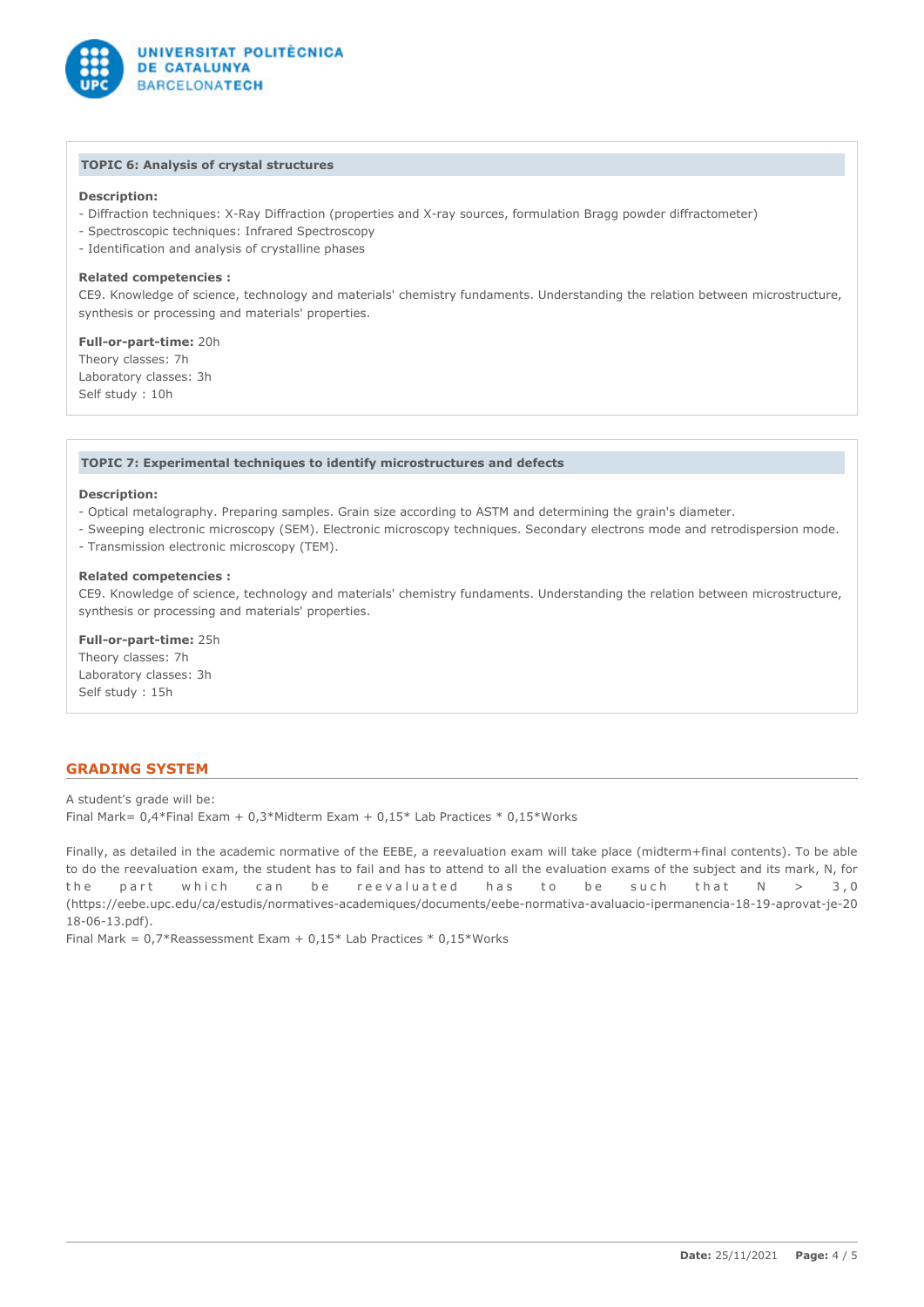

### **TOPIC 6: Analysis of crystal structures**

# **Description:**

- Diffraction techniques: X-Ray Diffraction (properties and X-ray sources, formulation Bragg powder diffractometer)
- Spectroscopic techniques: Infrared Spectroscopy
- Identification and analysis of crystalline phases

### **Related competencies :**

CE9. Knowledge of science, technology and materials' chemistry fundaments. Understanding the relation between microstructure, synthesis or processing and materials' properties.

**Full-or-part-time:** 20h Theory classes: 7h Laboratory classes: 3h Self study : 10h

### **TOPIC 7: Experimental techniques to identify microstructures and defects**

#### **Description:**

- Optical metalography. Preparing samples. Grain size according to ASTM and determining the grain's diameter.
- Sweeping electronic microscopy (SEM). Electronic microscopy techniques. Secondary electrons mode and retrodispersion mode.
- Transmission electronic microscopy (TEM).

### **Related competencies :**

CE9. Knowledge of science, technology and materials' chemistry fundaments. Understanding the relation between microstructure, synthesis or processing and materials' properties.

**Full-or-part-time:** 25h Theory classes: 7h Laboratory classes: 3h Self study : 15h

# **GRADING SYSTEM**

A student's grade will be: Final Mark= 0,4\*Final Exam + 0,3\*Midterm Exam + 0,15\* Lab Practices \* 0,15\*Works

Finally, as detailed in the academic normative of the EEBE, a reevaluation exam will take place (midterm+final contents). To be able to do the reevaluation exam, the student has to fail and has to attend to all the evaluation exams of the subject and its mark, N, for the part which can be reevaluated has to be such that  $N > 3,0$ (https://eebe.upc.edu/ca/estudis/normatives-academiques/documents/eebe-normativa-avaluacio-ipermanencia-18-19-aprovat-je-20 18-06-13.pdf).

Final Mark =  $0.7*$ Reassessment Exam +  $0.15*$  Lab Practices  $*$  0.15 $*$ Works